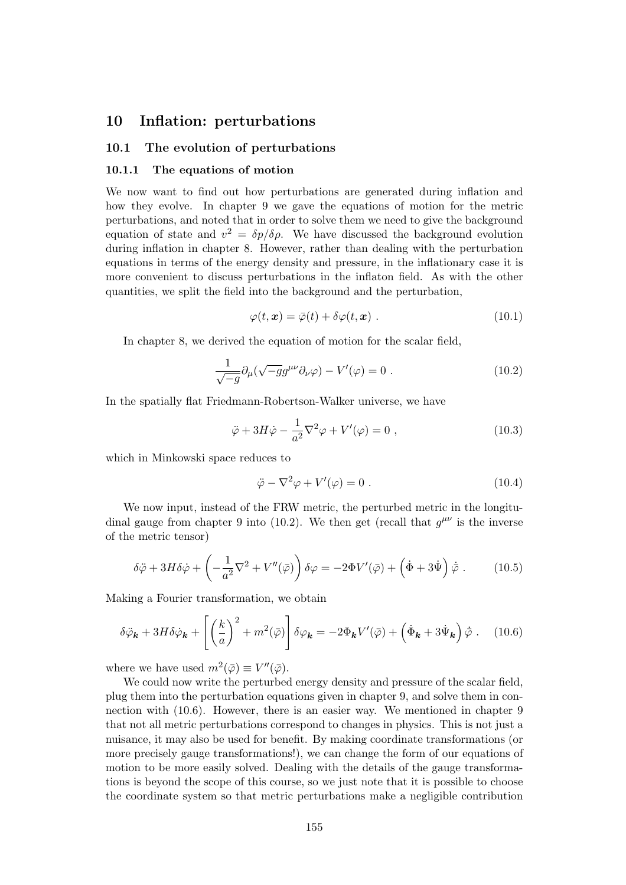# 10 Inflation: perturbations

# 10.1 The evolution of perturbations

# 10.1.1 The equations of motion

We now want to find out how perturbations are generated during inflation and how they evolve. In chapter 9 we gave the equations of motion for the metric perturbations, and noted that in order to solve them we need to give the background equation of state and  $v^2 = \delta p/\delta \rho$ . We have discussed the background evolution during inflation in chapter 8. However, rather than dealing with the perturbation equations in terms of the energy density and pressure, in the inflationary case it is more convenient to discuss perturbations in the inflaton field. As with the other quantities, we split the field into the background and the perturbation,

$$
\varphi(t, \mathbf{x}) = \bar{\varphi}(t) + \delta\varphi(t, \mathbf{x}) . \qquad (10.1)
$$

In chapter 8, we derived the equation of motion for the scalar field,

$$
\frac{1}{\sqrt{-g}}\partial_{\mu}(\sqrt{-g}g^{\mu\nu}\partial_{\nu}\varphi) - V'(\varphi) = 0.
$$
 (10.2)

In the spatially flat Friedmann-Robertson-Walker universe, we have

$$
\ddot{\varphi} + 3H\dot{\varphi} - \frac{1}{a^2}\nabla^2\varphi + V'(\varphi) = 0 , \qquad (10.3)
$$

which in Minkowski space reduces to

$$
\ddot{\varphi} - \nabla^2 \varphi + V'(\varphi) = 0.
$$
 (10.4)

We now input, instead of the FRW metric, the perturbed metric in the longitudinal gauge from chapter 9 into (10.2). We then get (recall that  $g^{\mu\nu}$  is the inverse of the metric tensor)

$$
\delta \ddot{\varphi} + 3H \delta \dot{\varphi} + \left( -\frac{1}{a^2} \nabla^2 + V''(\bar{\varphi}) \right) \delta \varphi = -2\Phi V'(\bar{\varphi}) + \left( \dot{\Phi} + 3\dot{\Psi} \right) \dot{\bar{\varphi}} \,. \tag{10.5}
$$

Making a Fourier transformation, we obtain

$$
\delta \ddot{\varphi}_{\mathbf{k}} + 3H \delta \dot{\varphi}_{\mathbf{k}} + \left[ \left( \frac{k}{a} \right)^2 + m^2(\bar{\varphi}) \right] \delta \varphi_{\mathbf{k}} = -2\Phi_{\mathbf{k}} V'(\bar{\varphi}) + \left( \dot{\Phi}_{\mathbf{k}} + 3\dot{\Psi}_{\mathbf{k}} \right) \dot{\bar{\varphi}} \,. \tag{10.6}
$$

where we have used  $m^2(\bar{\varphi}) \equiv V''(\bar{\varphi})$ .

We could now write the perturbed energy density and pressure of the scalar field, plug them into the perturbation equations given in chapter 9, and solve them in connection with (10.6). However, there is an easier way. We mentioned in chapter 9 that not all metric perturbations correspond to changes in physics. This is not just a nuisance, it may also be used for benefit. By making coordinate transformations (or more precisely gauge transformations!), we can change the form of our equations of motion to be more easily solved. Dealing with the details of the gauge transformations is beyond the scope of this course, so we just note that it is possible to choose the coordinate system so that metric perturbations make a negligible contribution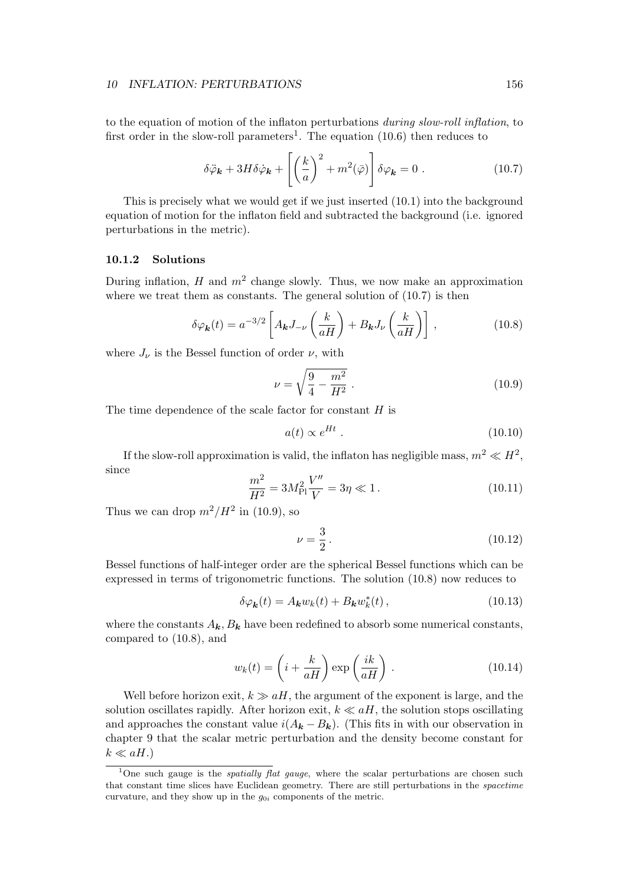to the equation of motion of the inflaton perturbations during slow-roll inflation, to first order in the slow-roll parameters<sup>1</sup>. The equation  $(10.6)$  then reduces to

$$
\delta \ddot{\varphi}_{\mathbf{k}} + 3H \delta \dot{\varphi}_{\mathbf{k}} + \left[ \left( \frac{k}{a} \right)^2 + m^2(\bar{\varphi}) \right] \delta \varphi_{\mathbf{k}} = 0 \ . \tag{10.7}
$$

This is precisely what we would get if we just inserted (10.1) into the background equation of motion for the inflaton field and subtracted the background (i.e. ignored perturbations in the metric).

# 10.1.2 Solutions

During inflation,  $H$  and  $m^2$  change slowly. Thus, we now make an approximation where we treat them as constants. The general solution of  $(10.7)$  is then

$$
\delta \varphi_{\mathbf{k}}(t) = a^{-3/2} \left[ A_{\mathbf{k}} J_{-\nu} \left( \frac{k}{aH} \right) + B_{\mathbf{k}} J_{\nu} \left( \frac{k}{aH} \right) \right], \tag{10.8}
$$

where  $J_{\nu}$  is the Bessel function of order  $\nu$ , with

$$
\nu = \sqrt{\frac{9}{4} - \frac{m^2}{H^2}} \,. \tag{10.9}
$$

The time dependence of the scale factor for constant  $H$  is

$$
a(t) \propto e^{Ht} \tag{10.10}
$$

If the slow-roll approximation is valid, the inflaton has negligible mass,  $m^2 \ll H^2$ , since

$$
\frac{m^2}{H^2} = 3M_{\rm Pl}^2 \frac{V''}{V} = 3\eta \ll 1.
$$
\n(10.11)

Thus we can drop  $m^2/H^2$  in (10.9), so

$$
\nu = \frac{3}{2} \,. \tag{10.12}
$$

Bessel functions of half-integer order are the spherical Bessel functions which can be expressed in terms of trigonometric functions. The solution (10.8) now reduces to

$$
\delta\varphi_{\mathbf{k}}(t) = A_{\mathbf{k}}w_{k}(t) + B_{\mathbf{k}}w_{k}^{*}(t), \qquad (10.13)
$$

where the constants  $A_k, B_k$  have been redefined to absorb some numerical constants, compared to (10.8), and

$$
w_k(t) = \left(i + \frac{k}{aH}\right) \exp\left(\frac{ik}{aH}\right). \tag{10.14}
$$

Well before horizon exit,  $k \gg aH$ , the argument of the exponent is large, and the solution oscillates rapidly. After horizon exit,  $k \ll aH$ , the solution stops oscillating and approaches the constant value  $i(A_{\mathbf{k}} - B_{\mathbf{k}})$ . (This fits in with our observation in chapter 9 that the scalar metric perturbation and the density become constant for  $k \ll aH.$ 

<sup>&</sup>lt;sup>1</sup>One such gauge is the *spatially flat gauge*, where the scalar perturbations are chosen such that constant time slices have Euclidean geometry. There are still perturbations in the spacetime curvature, and they show up in the  $g_{0i}$  components of the metric.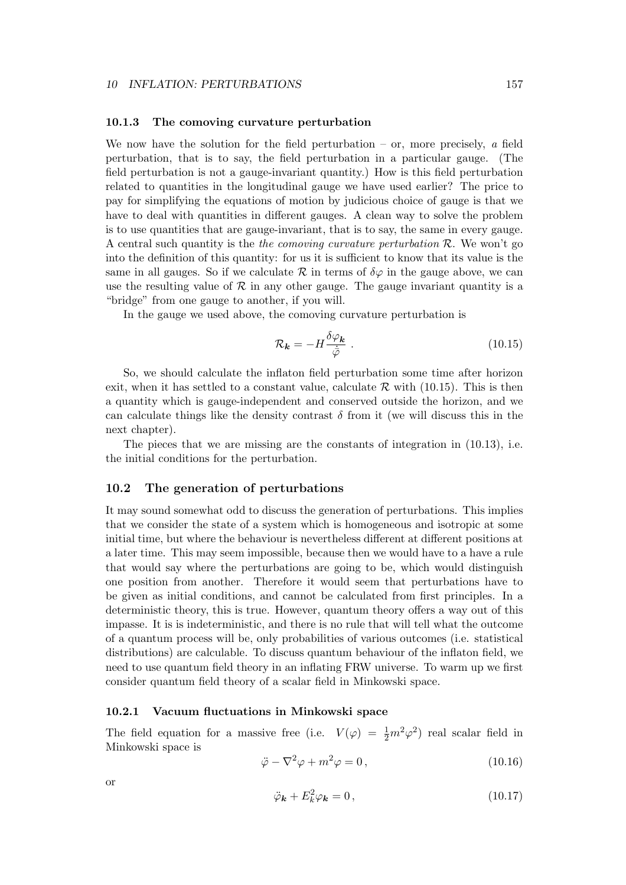#### 10.1.3 The comoving curvature perturbation

We now have the solution for the field perturbation – or, more precisely,  $\alpha$  field perturbation, that is to say, the field perturbation in a particular gauge. (The field perturbation is not a gauge-invariant quantity.) How is this field perturbation related to quantities in the longitudinal gauge we have used earlier? The price to pay for simplifying the equations of motion by judicious choice of gauge is that we have to deal with quantities in different gauges. A clean way to solve the problem is to use quantities that are gauge-invariant, that is to say, the same in every gauge. A central such quantity is the *the comoving curvature perturbation*  $\mathcal{R}$ . We won't go into the definition of this quantity: for us it is sufficient to know that its value is the same in all gauges. So if we calculate  $\mathcal R$  in terms of  $\delta\varphi$  in the gauge above, we can use the resulting value of  $\mathcal R$  in any other gauge. The gauge invariant quantity is a "bridge" from one gauge to another, if you will.

In the gauge we used above, the comoving curvature perturbation is

$$
\mathcal{R}_{\mathbf{k}} = -H \frac{\delta \varphi_{\mathbf{k}}}{\dot{\bar{\varphi}}} \tag{10.15}
$$

So, we should calculate the inflaton field perturbation some time after horizon exit, when it has settled to a constant value, calculate  $\mathcal R$  with (10.15). This is then a quantity which is gauge-independent and conserved outside the horizon, and we can calculate things like the density contrast  $\delta$  from it (we will discuss this in the next chapter).

The pieces that we are missing are the constants of integration in (10.13), i.e. the initial conditions for the perturbation.

# 10.2 The generation of perturbations

It may sound somewhat odd to discuss the generation of perturbations. This implies that we consider the state of a system which is homogeneous and isotropic at some initial time, but where the behaviour is nevertheless different at different positions at a later time. This may seem impossible, because then we would have to a have a rule that would say where the perturbations are going to be, which would distinguish one position from another. Therefore it would seem that perturbations have to be given as initial conditions, and cannot be calculated from first principles. In a deterministic theory, this is true. However, quantum theory offers a way out of this impasse. It is is indeterministic, and there is no rule that will tell what the outcome of a quantum process will be, only probabilities of various outcomes (i.e. statistical distributions) are calculable. To discuss quantum behaviour of the inflaton field, we need to use quantum field theory in an inflating FRW universe. To warm up we first consider quantum field theory of a scalar field in Minkowski space.

#### 10.2.1 Vacuum fluctuations in Minkowski space

The field equation for a massive free (i.e.  $V(\varphi) = \frac{1}{2}m^2\varphi^2$ ) real scalar field in Minkowski space is

$$
\ddot{\varphi} - \nabla^2 \varphi + m^2 \varphi = 0, \qquad (10.16)
$$

or

$$
\ddot{\varphi}_{\mathbf{k}} + E_k^2 \varphi_{\mathbf{k}} = 0, \qquad (10.17)
$$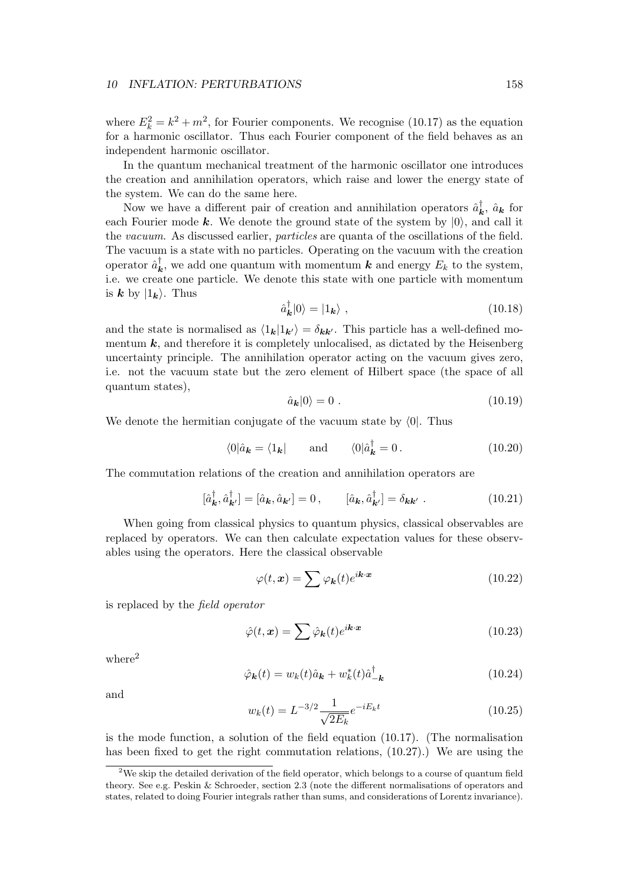where  $E_k^2 = k^2 + m^2$ , for Fourier components. We recognise (10.17) as the equation for a harmonic oscillator. Thus each Fourier component of the field behaves as an independent harmonic oscillator.

In the quantum mechanical treatment of the harmonic oscillator one introduces the creation and annihilation operators, which raise and lower the energy state of the system. We can do the same here.

Now we have a different pair of creation and annihilation operators  $\hat{a}_{\bf k}^{\dagger}$ ,  $\hat{a}_{\bf k}$  for each Fourier mode k. We denote the ground state of the system by  $|0\rangle$ , and call it the vacuum. As discussed earlier, particles are quanta of the oscillations of the field. The vacuum is a state with no particles. Operating on the vacuum with the creation operator  $\hat{a}_{\bm{k}}^{\dagger}$ , we add one quantum with momentum  $\bm{k}$  and energy  $E_k$  to the system, i.e. we create one particle. We denote this state with one particle with momentum is  $k$  by  $|1_k\rangle$ . Thus

$$
\hat{a}_{\mathbf{k}}^{\dagger}|0\rangle = |1_{\mathbf{k}}\rangle \tag{10.18}
$$

and the state is normalised as  $\langle 1_k|1_{k'}\rangle = \delta_{kk'}$ . This particle has a well-defined momentum  $k$ , and therefore it is completely unlocalised, as dictated by the Heisenberg uncertainty principle. The annihilation operator acting on the vacuum gives zero, i.e. not the vacuum state but the zero element of Hilbert space (the space of all quantum states),

$$
\hat{a}_{\mathbf{k}}|0\rangle = 0. \tag{10.19}
$$

We denote the hermitian conjugate of the vacuum state by  $\langle 0|$ . Thus

$$
\langle 0|\hat{a}_{\mathbf{k}} = \langle 1_{\mathbf{k}}| \quad \text{and} \quad \langle 0|\hat{a}_{\mathbf{k}}^{\dagger} = 0. \quad (10.20)
$$

The commutation relations of the creation and annihilation operators are

$$
[\hat{a}_{\boldsymbol{k}}^{\dagger}, \hat{a}_{\boldsymbol{k}'}^{\dagger}] = [\hat{a}_{\boldsymbol{k}}, \hat{a}_{\boldsymbol{k}'}] = 0, \qquad [\hat{a}_{\boldsymbol{k}}, \hat{a}_{\boldsymbol{k}'}^{\dagger}] = \delta_{\boldsymbol{k}\boldsymbol{k}'} . \tag{10.21}
$$

When going from classical physics to quantum physics, classical observables are replaced by operators. We can then calculate expectation values for these observables using the operators. Here the classical observable

$$
\varphi(t, \mathbf{x}) = \sum \varphi_k(t) e^{i\mathbf{k} \cdot \mathbf{x}} \tag{10.22}
$$

is replaced by the field operator

$$
\hat{\varphi}(t,\mathbf{x}) = \sum \hat{\varphi}_{\mathbf{k}}(t)e^{i\mathbf{k}\cdot\mathbf{x}} \tag{10.23}
$$

where $^2$ 

$$
\hat{\varphi}_{\mathbf{k}}(t) = w_k(t)\hat{a}_{\mathbf{k}} + w_k^*(t)\hat{a}_{-\mathbf{k}}^\dagger \tag{10.24}
$$

and

$$
w_k(t) = L^{-3/2} \frac{1}{\sqrt{2E_k}} e^{-iE_k t}
$$
\n(10.25)

is the mode function, a solution of the field equation (10.17). (The normalisation has been fixed to get the right commutation relations, (10.27).) We are using the

 $2$ We skip the detailed derivation of the field operator, which belongs to a course of quantum field theory. See e.g. Peskin & Schroeder, section 2.3 (note the different normalisations of operators and states, related to doing Fourier integrals rather than sums, and considerations of Lorentz invariance).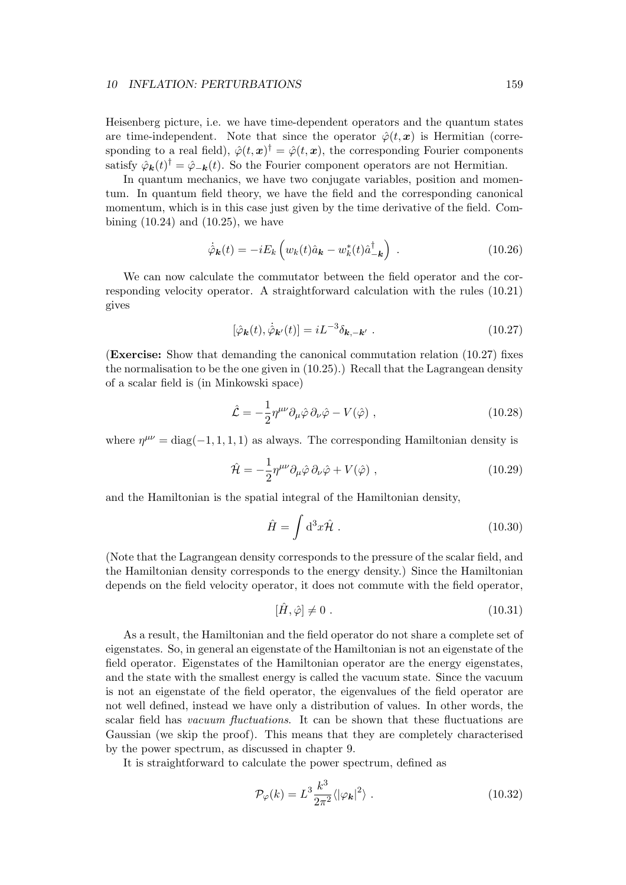Heisenberg picture, i.e. we have time-dependent operators and the quantum states are time-independent. Note that since the operator  $\hat{\varphi}(t,\boldsymbol{x})$  is Hermitian (corresponding to a real field),  $\hat{\varphi}(t,\mathbf{x})^{\dagger} = \hat{\varphi}(t,\mathbf{x})$ , the corresponding Fourier components satisfy  $\hat{\varphi}_{\bf k}(t)^{\dagger} = \hat{\varphi}_{-\bf k}(t)$ . So the Fourier component operators are not Hermitian.

In quantum mechanics, we have two conjugate variables, position and momentum. In quantum field theory, we have the field and the corresponding canonical momentum, which is in this case just given by the time derivative of the field. Combining  $(10.24)$  and  $(10.25)$ , we have

$$
\dot{\hat{\varphi}}_{\mathbf{k}}(t) = -iE_k \left( w_k(t)\hat{a}_{\mathbf{k}} - w_k^*(t)\hat{a}_{-\mathbf{k}}^\dagger \right) \tag{10.26}
$$

We can now calculate the commutator between the field operator and the corresponding velocity operator. A straightforward calculation with the rules (10.21) gives

$$
[\hat{\varphi}_{\mathbf{k}}(t), \dot{\hat{\varphi}}_{\mathbf{k}'}(t)] = i L^{-3} \delta_{\mathbf{k}, -\mathbf{k}'} . \qquad (10.27)
$$

(Exercise: Show that demanding the canonical commutation relation (10.27) fixes the normalisation to be the one given in (10.25).) Recall that the Lagrangean density of a scalar field is (in Minkowski space)

$$
\hat{\mathcal{L}} = -\frac{1}{2} \eta^{\mu\nu} \partial_{\mu} \hat{\varphi} \, \partial_{\nu} \hat{\varphi} - V(\hat{\varphi}) \;, \tag{10.28}
$$

where  $\eta^{\mu\nu} = \text{diag}(-1, 1, 1, 1)$  as always. The corresponding Hamiltonian density is

$$
\hat{\mathcal{H}} = -\frac{1}{2} \eta^{\mu\nu} \partial_{\mu} \hat{\varphi} \, \partial_{\nu} \hat{\varphi} + V(\hat{\varphi}) \;, \tag{10.29}
$$

and the Hamiltonian is the spatial integral of the Hamiltonian density,

$$
\hat{H} = \int \mathrm{d}^3 x \hat{\mathcal{H}} \,. \tag{10.30}
$$

(Note that the Lagrangean density corresponds to the pressure of the scalar field, and the Hamiltonian density corresponds to the energy density.) Since the Hamiltonian depends on the field velocity operator, it does not commute with the field operator,

$$
[\hat{H}, \hat{\varphi}] \neq 0. \tag{10.31}
$$

As a result, the Hamiltonian and the field operator do not share a complete set of eigenstates. So, in general an eigenstate of the Hamiltonian is not an eigenstate of the field operator. Eigenstates of the Hamiltonian operator are the energy eigenstates, and the state with the smallest energy is called the vacuum state. Since the vacuum is not an eigenstate of the field operator, the eigenvalues of the field operator are not well defined, instead we have only a distribution of values. In other words, the scalar field has *vacuum fluctuations*. It can be shown that these fluctuations are Gaussian (we skip the proof). This means that they are completely characterised by the power spectrum, as discussed in chapter 9.

It is straightforward to calculate the power spectrum, defined as

$$
\mathcal{P}_{\varphi}(k) = L^3 \frac{k^3}{2\pi^2} \langle |\varphi_{\mathbf{k}}|^2 \rangle \tag{10.32}
$$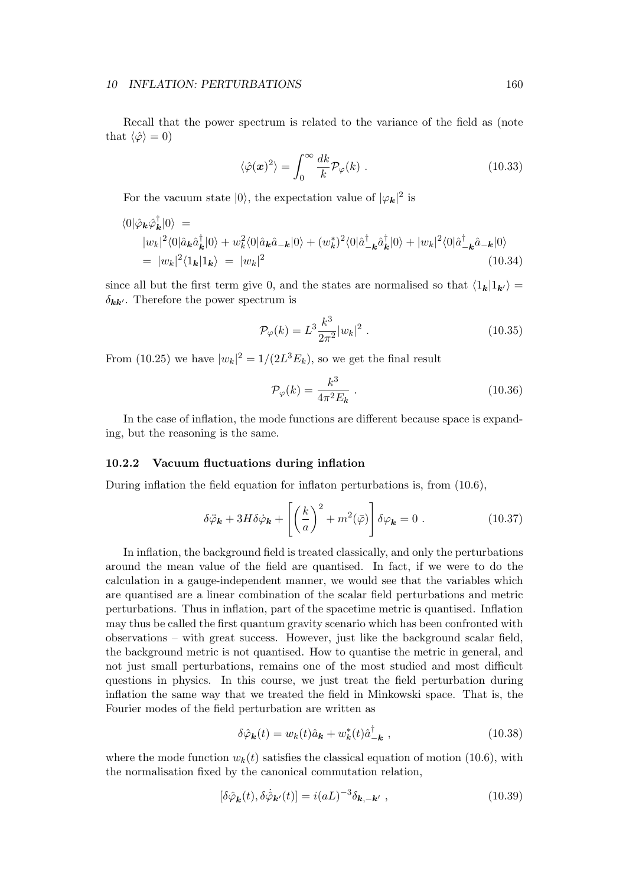Recall that the power spectrum is related to the variance of the field as (note that  $\langle \hat{\varphi} \rangle = 0$ )

$$
\langle \hat{\varphi}(\boldsymbol{x})^2 \rangle = \int_0^\infty \frac{dk}{k} \mathcal{P}_{\varphi}(k) \; . \tag{10.33}
$$

For the vacuum state  $|0\rangle$ , the expectation value of  $|\varphi_{\boldsymbol{k}}|^2$  is

$$
\langle 0|\hat{\varphi}_{\mathbf{k}}\hat{\varphi}_{\mathbf{k}}^{\dagger}|0\rangle =
$$
  
\n
$$
|w_{k}|^{2}\langle 0|\hat{a}_{\mathbf{k}}\hat{a}_{\mathbf{k}}^{\dagger}|0\rangle + w_{k}^{2}\langle 0|\hat{a}_{\mathbf{k}}\hat{a}_{-\mathbf{k}}|0\rangle + (w_{k}^{*})^{2}\langle 0|\hat{a}_{-\mathbf{k}}^{\dagger}\hat{a}_{\mathbf{k}}^{\dagger}|0\rangle + |w_{k}|^{2}\langle 0|\hat{a}_{-\mathbf{k}}^{\dagger}\hat{a}_{-\mathbf{k}}|0\rangle
$$
  
\n
$$
= |w_{k}|^{2}\langle 1_{\mathbf{k}}|1_{\mathbf{k}}\rangle = |w_{k}|^{2}
$$
\n(10.34)

since all but the first term give 0, and the states are normalised so that  $\langle 1_k|1_{k'}\rangle =$  $\delta_{\mathbf{k}\mathbf{k}'}$ . Therefore the power spectrum is

$$
\mathcal{P}_{\varphi}(k) = L^3 \frac{k^3}{2\pi^2} |w_k|^2 \ . \tag{10.35}
$$

From (10.25) we have  $|w_k|^2 = 1/(2L^3 E_k)$ , so we get the final result

$$
\mathcal{P}_{\varphi}(k) = \frac{k^3}{4\pi^2 E_k} \tag{10.36}
$$

In the case of inflation, the mode functions are different because space is expanding, but the reasoning is the same.

# 10.2.2 Vacuum fluctuations during inflation

During inflation the field equation for inflaton perturbations is, from (10.6),

$$
\delta \ddot{\varphi}_{\mathbf{k}} + 3H \delta \dot{\varphi}_{\mathbf{k}} + \left[ \left( \frac{k}{a} \right)^2 + m^2 (\bar{\varphi}) \right] \delta \varphi_{\mathbf{k}} = 0 \ . \tag{10.37}
$$

In inflation, the background field is treated classically, and only the perturbations around the mean value of the field are quantised. In fact, if we were to do the calculation in a gauge-independent manner, we would see that the variables which are quantised are a linear combination of the scalar field perturbations and metric perturbations. Thus in inflation, part of the spacetime metric is quantised. Inflation may thus be called the first quantum gravity scenario which has been confronted with observations – with great success. However, just like the background scalar field, the background metric is not quantised. How to quantise the metric in general, and not just small perturbations, remains one of the most studied and most difficult questions in physics. In this course, we just treat the field perturbation during inflation the same way that we treated the field in Minkowski space. That is, the Fourier modes of the field perturbation are written as

$$
\delta\hat{\varphi}_{\mathbf{k}}(t) = w_k(t)\hat{a}_{\mathbf{k}} + w_k^*(t)\hat{a}_{-\mathbf{k}}^\dagger , \qquad (10.38)
$$

where the mode function  $w_k(t)$  satisfies the classical equation of motion (10.6), with the normalisation fixed by the canonical commutation relation,

$$
[\delta \hat{\varphi}_{\mathbf{k}}(t), \delta \dot{\hat{\varphi}}_{\mathbf{k}'}(t)] = i(aL)^{-3} \delta_{\mathbf{k}, -\mathbf{k}'}, \qquad (10.39)
$$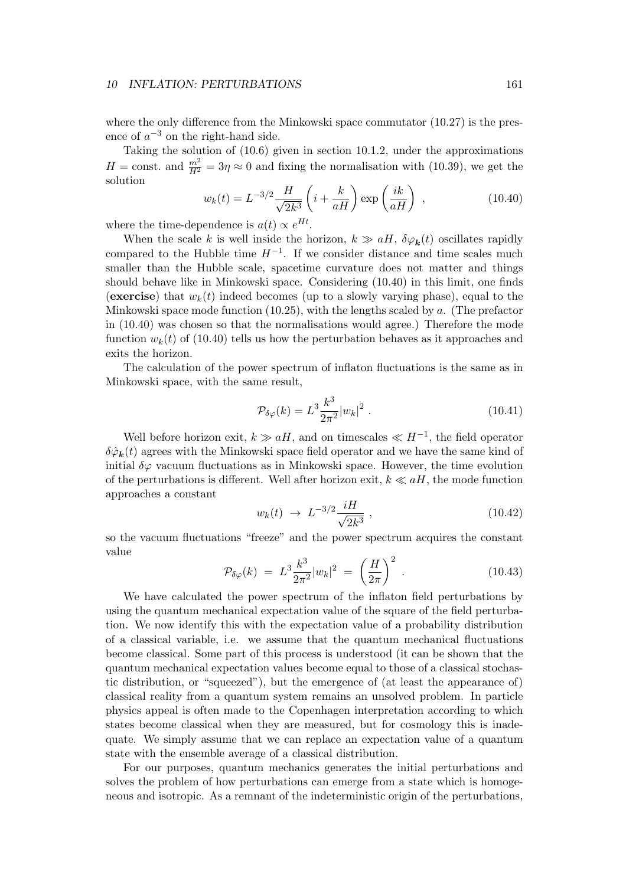where the only difference from the Minkowski space commutator  $(10.27)$  is the presence of  $a^{-3}$  on the right-hand side.

Taking the solution of (10.6) given in section 10.1.2, under the approximations  $H = \text{const.}$  and  $\frac{m^2}{H^2} = 3\eta \approx 0$  and fixing the normalisation with (10.39), we get the solution

$$
w_k(t) = L^{-3/2} \frac{H}{\sqrt{2k^3}} \left( i + \frac{k}{aH} \right) \exp\left( \frac{ik}{aH} \right) , \qquad (10.40)
$$

where the time-dependence is  $a(t) \propto e^{Ht}$ .

When the scale k is well inside the horizon,  $k \gg aH$ ,  $\delta \varphi_{\mathbf{k}}(t)$  oscillates rapidly compared to the Hubble time  $H^{-1}$ . If we consider distance and time scales much smaller than the Hubble scale, spacetime curvature does not matter and things should behave like in Minkowski space. Considering (10.40) in this limit, one finds (exercise) that  $w_k(t)$  indeed becomes (up to a slowly varying phase), equal to the Minkowski space mode function  $(10.25)$ , with the lengths scaled by a. (The prefactor in (10.40) was chosen so that the normalisations would agree.) Therefore the mode function  $w_k(t)$  of (10.40) tells us how the perturbation behaves as it approaches and exits the horizon.

The calculation of the power spectrum of inflaton fluctuations is the same as in Minkowski space, with the same result,

$$
\mathcal{P}_{\delta\varphi}(k) = L^3 \frac{k^3}{2\pi^2} |w_k|^2 \ . \tag{10.41}
$$

Well before horizon exit,  $k \gg aH$ , and on timescales  $\ll H^{-1}$ , the field operator  $\delta \hat{\varphi}_{\bf k}(t)$  agrees with the Minkowski space field operator and we have the same kind of initial  $\delta\varphi$  vacuum fluctuations as in Minkowski space. However, the time evolution of the perturbations is different. Well after horizon exit,  $k \ll aH$ , the mode function approaches a constant

$$
w_k(t) \to L^{-3/2} \frac{iH}{\sqrt{2k^3}} \,, \tag{10.42}
$$

so the vacuum fluctuations "freeze" and the power spectrum acquires the constant value

$$
\mathcal{P}_{\delta\varphi}(k) \ = \ L^3 \frac{k^3}{2\pi^2} |w_k|^2 \ = \ \left(\frac{H}{2\pi}\right)^2 \ . \tag{10.43}
$$

We have calculated the power spectrum of the inflaton field perturbations by using the quantum mechanical expectation value of the square of the field perturbation. We now identify this with the expectation value of a probability distribution of a classical variable, i.e. we assume that the quantum mechanical fluctuations become classical. Some part of this process is understood (it can be shown that the quantum mechanical expectation values become equal to those of a classical stochastic distribution, or "squeezed"), but the emergence of (at least the appearance of) classical reality from a quantum system remains an unsolved problem. In particle physics appeal is often made to the Copenhagen interpretation according to which states become classical when they are measured, but for cosmology this is inadequate. We simply assume that we can replace an expectation value of a quantum state with the ensemble average of a classical distribution.

For our purposes, quantum mechanics generates the initial perturbations and solves the problem of how perturbations can emerge from a state which is homogeneous and isotropic. As a remnant of the indeterministic origin of the perturbations,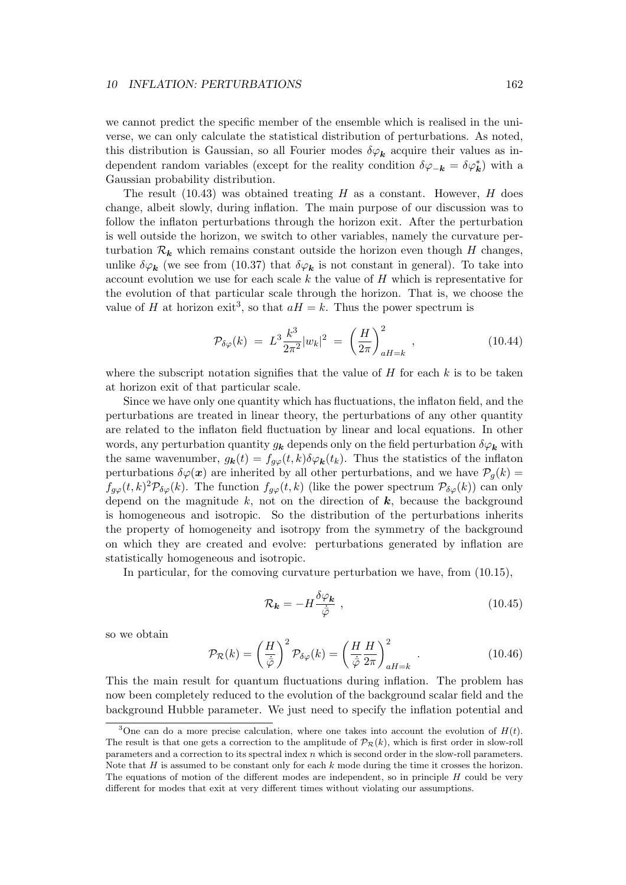we cannot predict the specific member of the ensemble which is realised in the universe, we can only calculate the statistical distribution of perturbations. As noted, this distribution is Gaussian, so all Fourier modes  $\delta\varphi_{\bm{k}}$  acquire their values as independent random variables (except for the reality condition  $\delta\varphi_{-\mathbf{k}} = \delta\varphi_{\mathbf{k}}^*$ ) with a Gaussian probability distribution.

The result  $(10.43)$  was obtained treating H as a constant. However, H does change, albeit slowly, during inflation. The main purpose of our discussion was to follow the inflaton perturbations through the horizon exit. After the perturbation is well outside the horizon, we switch to other variables, namely the curvature perturbation  $\mathcal{R}_k$  which remains constant outside the horizon even though H changes, unlike  $\delta\varphi_{\bf k}$  (we see from (10.37) that  $\delta\varphi_{\bf k}$  is not constant in general). To take into account evolution we use for each scale  $k$  the value of  $H$  which is representative for the evolution of that particular scale through the horizon. That is, we choose the value of H at horizon exit<sup>3</sup>, so that  $aH = k$ . Thus the power spectrum is

$$
\mathcal{P}_{\delta\varphi}(k) \ = \ L^3 \frac{k^3}{2\pi^2} |w_k|^2 \ = \ \left(\frac{H}{2\pi}\right)^2_{aH=k} \ , \tag{10.44}
$$

where the subscript notation signifies that the value of  $H$  for each  $k$  is to be taken at horizon exit of that particular scale.

Since we have only one quantity which has fluctuations, the inflaton field, and the perturbations are treated in linear theory, the perturbations of any other quantity are related to the inflaton field fluctuation by linear and local equations. In other words, any perturbation quantity  $g_k$  depends only on the field perturbation  $\delta\varphi_k$  with the same wavenumber,  $g_{\bf k}(t) = f_{g\varphi}(t,k) \delta \varphi_{\bf k}(t_k)$ . Thus the statistics of the inflaton perturbations  $\delta\varphi(\mathbf{x})$  are inherited by all other perturbations, and we have  $\mathcal{P}_q(k)$  $f_{g\varphi}(t,k)^2 \mathcal{P}_{\delta\varphi}(k)$ . The function  $f_{g\varphi}(t,k)$  (like the power spectrum  $\mathcal{P}_{\delta\varphi}(k)$ ) can only depend on the magnitude  $k$ , not on the direction of  $k$ , because the background is homogeneous and isotropic. So the distribution of the perturbations inherits the property of homogeneity and isotropy from the symmetry of the background on which they are created and evolve: perturbations generated by inflation are statistically homogeneous and isotropic.

In particular, for the comoving curvature perturbation we have, from (10.15),

$$
\mathcal{R}_{\mathbf{k}} = -H \frac{\delta \varphi_{\mathbf{k}}}{\dot{\bar{\varphi}}},\tag{10.45}
$$

so we obtain

$$
\mathcal{P}_{\mathcal{R}}(k) = \left(\frac{H}{\dot{\bar{\varphi}}}\right)^2 \mathcal{P}_{\delta\varphi}(k) = \left(\frac{H}{\dot{\bar{\varphi}}}\frac{H}{2\pi}\right)_{aH=k}^2.
$$
 (10.46)

This the main result for quantum fluctuations during inflation. The problem has now been completely reduced to the evolution of the background scalar field and the background Hubble parameter. We just need to specify the inflation potential and

<sup>&</sup>lt;sup>3</sup>One can do a more precise calculation, where one takes into account the evolution of  $H(t)$ . The result is that one gets a correction to the amplitude of  $\mathcal{P}_{\mathcal{R}}(k)$ , which is first order in slow-roll parameters and a correction to its spectral index  $n$  which is second order in the slow-roll parameters. Note that  $H$  is assumed to be constant only for each  $k$  mode during the time it crosses the horizon. The equations of motion of the different modes are independent, so in principle  $H$  could be very different for modes that exit at very different times without violating our assumptions.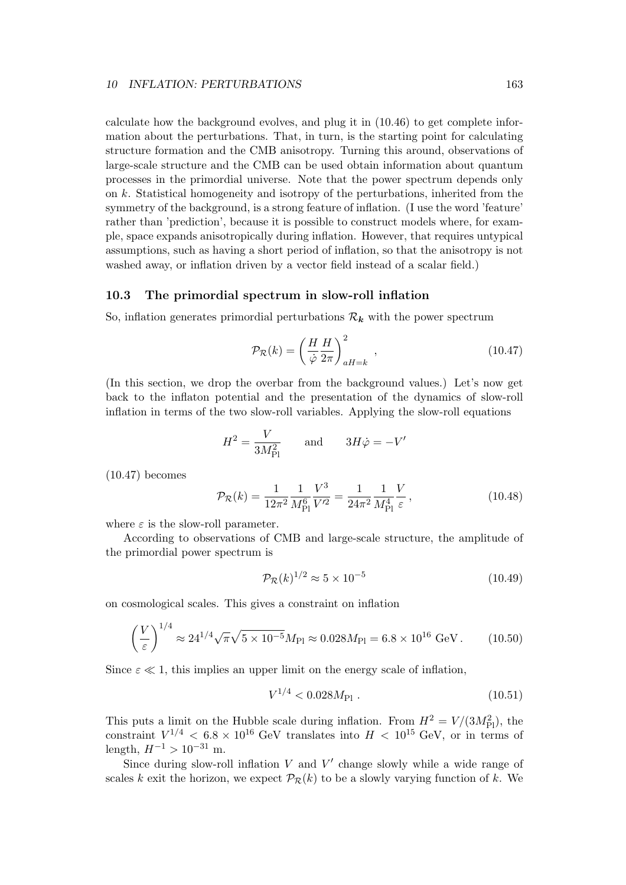calculate how the background evolves, and plug it in (10.46) to get complete information about the perturbations. That, in turn, is the starting point for calculating structure formation and the CMB anisotropy. Turning this around, observations of large-scale structure and the CMB can be used obtain information about quantum processes in the primordial universe. Note that the power spectrum depends only on k. Statistical homogeneity and isotropy of the perturbations, inherited from the symmetry of the background, is a strong feature of inflation. (I use the word 'feature' rather than 'prediction', because it is possible to construct models where, for example, space expands anisotropically during inflation. However, that requires untypical assumptions, such as having a short period of inflation, so that the anisotropy is not washed away, or inflation driven by a vector field instead of a scalar field.)

# 10.3 The primordial spectrum in slow-roll inflation

So, inflation generates primordial perturbations  $\mathcal{R}_k$  with the power spectrum

$$
\mathcal{P}_{\mathcal{R}}(k) = \left(\frac{H}{\dot{\varphi}} \frac{H}{2\pi}\right)_{aH=k}^{2}, \qquad (10.47)
$$

(In this section, we drop the overbar from the background values.) Let's now get back to the inflaton potential and the presentation of the dynamics of slow-roll inflation in terms of the two slow-roll variables. Applying the slow-roll equations

$$
H^2 = \frac{V}{3M_{\rm Pl}^2} \qquad \text{and} \qquad 3H\dot{\varphi} = -V'
$$

(10.47) becomes

$$
\mathcal{P}_{\mathcal{R}}(k) = \frac{1}{12\pi^2} \frac{1}{M_{\rm Pl}^6} \frac{V^3}{V'^2} = \frac{1}{24\pi^2} \frac{1}{M_{\rm Pl}^4} \frac{V}{\varepsilon},\tag{10.48}
$$

where  $\varepsilon$  is the slow-roll parameter.

According to observations of CMB and large-scale structure, the amplitude of the primordial power spectrum is

$$
\mathcal{P}_{\mathcal{R}}(k)^{1/2} \approx 5 \times 10^{-5} \tag{10.49}
$$

on cosmological scales. This gives a constraint on inflation

$$
\left(\frac{V}{\varepsilon}\right)^{1/4} \approx 24^{1/4} \sqrt{\pi} \sqrt{5 \times 10^{-5}} M_{\text{Pl}} \approx 0.028 M_{\text{Pl}} = 6.8 \times 10^{16} \text{ GeV}.
$$
 (10.50)

Since  $\varepsilon \ll 1$ , this implies an upper limit on the energy scale of inflation,

$$
V^{1/4} < 0.028M_{\text{Pl}} \tag{10.51}
$$

This puts a limit on the Hubble scale during inflation. From  $H^2 = V/(3M_{\text{Pl}}^2)$ , the constraint  $V^{1/4} < 6.8 \times 10^{16}$  GeV translates into  $H < 10^{15}$  GeV, or in terms of length,  $H^{-1} > 10^{-31}$  m.

Since during slow-roll inflation  $V$  and  $V'$  change slowly while a wide range of scales k exit the horizon, we expect  $\mathcal{P}_{\mathcal{R}}(k)$  to be a slowly varying function of k. We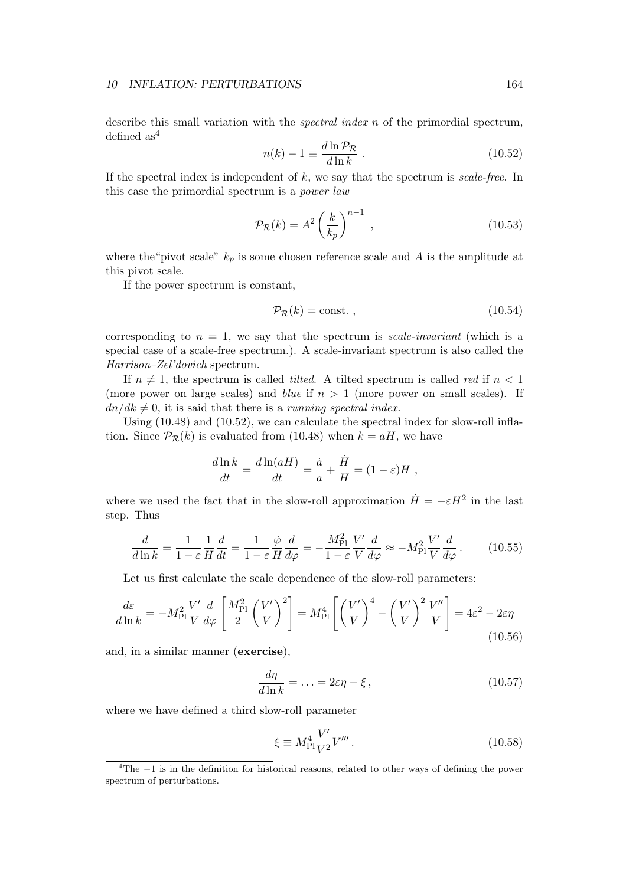describe this small variation with the spectral index n of the primordial spectrum, defined  $as<sup>4</sup>$ 

$$
n(k) - 1 \equiv \frac{d \ln \mathcal{P}_{\mathcal{R}}}{d \ln k} \tag{10.52}
$$

If the spectral index is independent of  $k$ , we say that the spectrum is scale-free. In this case the primordial spectrum is a power law

$$
\mathcal{P}_{\mathcal{R}}(k) = A^2 \left(\frac{k}{k_p}\right)^{n-1},\qquad(10.53)
$$

where the "pivot scale"  $k_p$  is some chosen reference scale and A is the amplitude at this pivot scale.

If the power spectrum is constant,

$$
\mathcal{P}_{\mathcal{R}}(k) = \text{const.} \tag{10.54}
$$

corresponding to  $n = 1$ , we say that the spectrum is scale-invariant (which is a special case of a scale-free spectrum.). A scale-invariant spectrum is also called the Harrison–Zel'dovich spectrum.

If  $n \neq 1$ , the spectrum is called *tilted*. A tilted spectrum is called *red* if  $n < 1$ (more power on large scales) and *blue* if  $n > 1$  (more power on small scales). If  $dn/dk \neq 0$ , it is said that there is a running spectral index.

Using (10.48) and (10.52), we can calculate the spectral index for slow-roll inflation. Since  $\mathcal{P}_{\mathcal{R}}(k)$  is evaluated from (10.48) when  $k = aH$ , we have

$$
\frac{d\ln k}{dt} = \frac{d\ln(aH)}{dt} = \frac{\dot{a}}{a} + \frac{\dot{H}}{H} = (1 - \varepsilon)H ,
$$

where we used the fact that in the slow-roll approximation  $\dot{H} = -\varepsilon H^2$  in the last step. Thus

$$
\frac{d}{d\ln k} = \frac{1}{1-\varepsilon} \frac{1}{H} \frac{d}{dt} = \frac{1}{1-\varepsilon} \frac{\dot{\varphi}}{H} \frac{d}{d\varphi} = -\frac{M_{\rm Pl}^2}{1-\varepsilon} \frac{V'}{V} \frac{d}{d\varphi} \approx -M_{\rm Pl}^2 \frac{V'}{V} \frac{d}{d\varphi} \,. \tag{10.55}
$$

Let us first calculate the scale dependence of the slow-roll parameters:

$$
\frac{d\varepsilon}{d\ln k} = -M_{\rm Pl}^2 \frac{V'}{V} \frac{d}{d\varphi} \left[ \frac{M_{\rm Pl}^2}{2} \left( \frac{V'}{V} \right)^2 \right] = M_{\rm Pl}^4 \left[ \left( \frac{V'}{V} \right)^4 - \left( \frac{V'}{V} \right)^2 \frac{V''}{V} \right] = 4\varepsilon^2 - 2\varepsilon\eta \tag{10.56}
$$

and, in a similar manner (exercise),

$$
\frac{d\eta}{d\ln k} = \dots = 2\varepsilon\eta - \xi\,,\tag{10.57}
$$

where we have defined a third slow-roll parameter

$$
\xi \equiv M_{\rm Pl}^4 \frac{V'}{V^2} V''' \,. \tag{10.58}
$$

<sup>4</sup>The −1 is in the definition for historical reasons, related to other ways of defining the power spectrum of perturbations.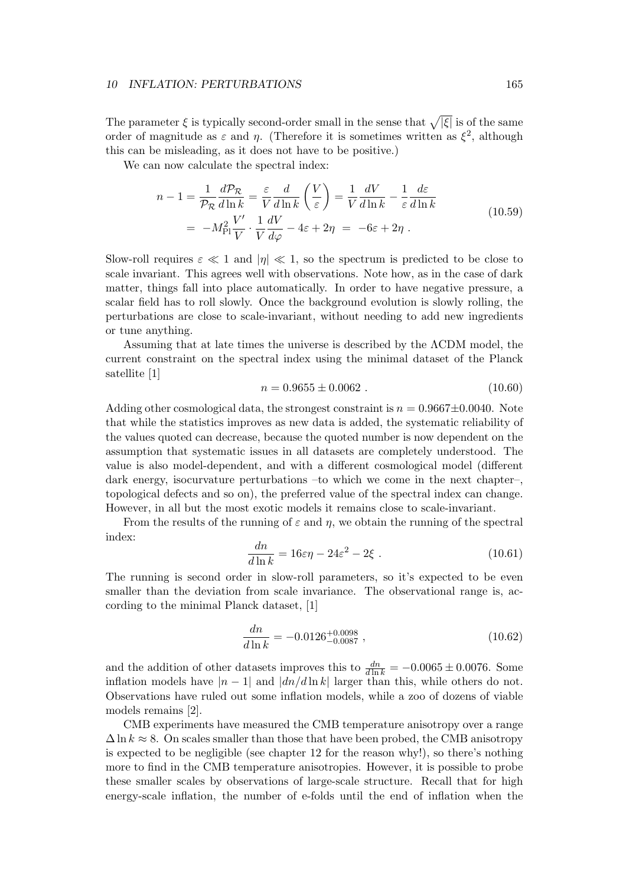The parameter  $\xi$  is typically second-order small in the sense that  $\sqrt{|\xi|}$  is of the same order of magnitude as  $\varepsilon$  and  $\eta$ . (Therefore it is sometimes written as  $\xi^2$ , although this can be misleading, as it does not have to be positive.)

We can now calculate the spectral index:

$$
n - 1 = \frac{1}{\mathcal{P}_{\mathcal{R}}} \frac{d\mathcal{P}_{\mathcal{R}}}{d\ln k} = \frac{\varepsilon}{V} \frac{d}{d\ln k} \left(\frac{V}{\varepsilon}\right) = \frac{1}{V} \frac{dV}{d\ln k} - \frac{1}{\varepsilon} \frac{d\varepsilon}{d\ln k}
$$
  
= 
$$
-M_{\text{Pl}}^2 \frac{V'}{V} \cdot \frac{1}{V} \frac{dV}{d\varphi} - 4\varepsilon + 2\eta = -6\varepsilon + 2\eta.
$$
 (10.59)

Slow-roll requires  $\varepsilon \ll 1$  and  $|\eta| \ll 1$ , so the spectrum is predicted to be close to scale invariant. This agrees well with observations. Note how, as in the case of dark matter, things fall into place automatically. In order to have negative pressure, a scalar field has to roll slowly. Once the background evolution is slowly rolling, the perturbations are close to scale-invariant, without needing to add new ingredients or tune anything.

Assuming that at late times the universe is described by the ΛCDM model, the current constraint on the spectral index using the minimal dataset of the Planck satellite [1]

$$
n = 0.9655 \pm 0.0062 \tag{10.60}
$$

Adding other cosmological data, the strongest constraint is  $n = 0.9667 \pm 0.0040$ . Note that while the statistics improves as new data is added, the systematic reliability of the values quoted can decrease, because the quoted number is now dependent on the assumption that systematic issues in all datasets are completely understood. The value is also model-dependent, and with a different cosmological model (different dark energy, isocurvature perturbations –to which we come in the next chapter–, topological defects and so on), the preferred value of the spectral index can change. However, in all but the most exotic models it remains close to scale-invariant.

From the results of the running of  $\varepsilon$  and  $\eta$ , we obtain the running of the spectral index:

$$
\frac{dn}{d\ln k} = 16\varepsilon\eta - 24\varepsilon^2 - 2\xi \tag{10.61}
$$

The running is second order in slow-roll parameters, so it's expected to be even smaller than the deviation from scale invariance. The observational range is, according to the minimal Planck dataset, [1]

$$
\frac{dn}{d\ln k} = -0.0126^{+0.0098}_{-0.0087} ,\qquad (10.62)
$$

and the addition of other datasets improves this to  $\frac{dn}{d\ln k} = -0.0065 \pm 0.0076$ . Some inflation models have  $|n-1|$  and  $|dn/d \ln k|$  larger than this, while others do not. Observations have ruled out some inflation models, while a zoo of dozens of viable models remains [2].

CMB experiments have measured the CMB temperature anisotropy over a range  $\Delta \ln k \approx 8$ . On scales smaller than those that have been probed, the CMB anisotropy is expected to be negligible (see chapter 12 for the reason why!), so there's nothing more to find in the CMB temperature anisotropies. However, it is possible to probe these smaller scales by observations of large-scale structure. Recall that for high energy-scale inflation, the number of e-folds until the end of inflation when the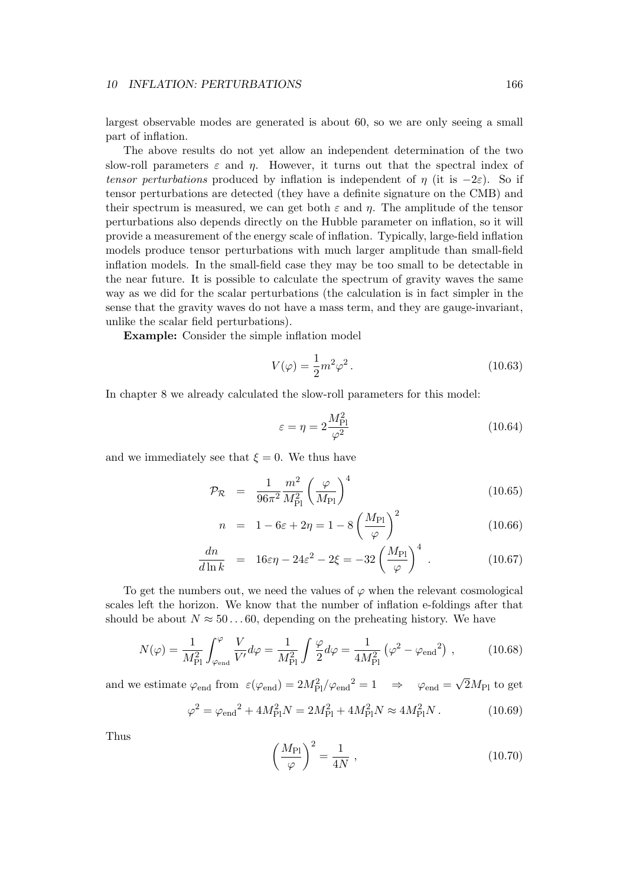largest observable modes are generated is about 60, so we are only seeing a small part of inflation.

The above results do not yet allow an independent determination of the two slow-roll parameters  $\varepsilon$  and  $\eta$ . However, it turns out that the spectral index of tensor perturbations produced by inflation is independent of  $\eta$  (it is  $-2\varepsilon$ ). So if tensor perturbations are detected (they have a definite signature on the CMB) and their spectrum is measured, we can get both  $\varepsilon$  and  $\eta$ . The amplitude of the tensor perturbations also depends directly on the Hubble parameter on inflation, so it will provide a measurement of the energy scale of inflation. Typically, large-field inflation models produce tensor perturbations with much larger amplitude than small-field inflation models. In the small-field case they may be too small to be detectable in the near future. It is possible to calculate the spectrum of gravity waves the same way as we did for the scalar perturbations (the calculation is in fact simpler in the sense that the gravity waves do not have a mass term, and they are gauge-invariant, unlike the scalar field perturbations).

Example: Consider the simple inflation model

$$
V(\varphi) = \frac{1}{2}m^2\varphi^2.
$$
\n(10.63)

In chapter 8 we already calculated the slow-roll parameters for this model:

$$
\varepsilon = \eta = 2 \frac{M_{\rm Pl}^2}{\varphi^2} \tag{10.64}
$$

and we immediately see that  $\xi = 0$ . We thus have

$$
\mathcal{P}_{\mathcal{R}} = \frac{1}{96\pi^2} \frac{m^2}{M_{\text{Pl}}^2} \left(\frac{\varphi}{M_{\text{Pl}}}\right)^4 \tag{10.65}
$$

$$
n = 1 - 6\varepsilon + 2\eta = 1 - 8\left(\frac{M_{\text{Pl}}}{\varphi}\right)^2 \tag{10.66}
$$

$$
\frac{dn}{d\ln k} = 16\varepsilon\eta - 24\varepsilon^2 - 2\xi = -32\left(\frac{M_{\rm Pl}}{\varphi}\right)^4. \tag{10.67}
$$

To get the numbers out, we need the values of  $\varphi$  when the relevant cosmological scales left the horizon. We know that the number of inflation e-foldings after that should be about  $N \approx 50...60$ , depending on the preheating history. We have

$$
N(\varphi) = \frac{1}{M_{\rm Pl}^2} \int_{\varphi_{\rm end}}^{\varphi} \frac{V}{V'} d\varphi = \frac{1}{M_{\rm Pl}^2} \int \frac{\varphi}{2} d\varphi = \frac{1}{4M_{\rm Pl}^2} (\varphi^2 - \varphi_{\rm end}^2) , \qquad (10.68)
$$

and we estimate  $\varphi_{end}$  from  $\epsilon(\varphi_{end}) = 2M_{\text{Pl}}^2/\varphi_{end}^2 = 1 \Rightarrow \varphi_{end} = \sqrt{2}M_{\text{Pl}}$  to get

$$
\varphi^2 = \varphi_{\rm end}^2 + 4M_{\rm Pl}^2 N = 2M_{\rm Pl}^2 + 4M_{\rm Pl}^2 N \approx 4M_{\rm Pl}^2 N. \tag{10.69}
$$

Thus

$$
\left(\frac{M_{\rm Pl}}{\varphi}\right)^2 = \frac{1}{4N} \,,\tag{10.70}
$$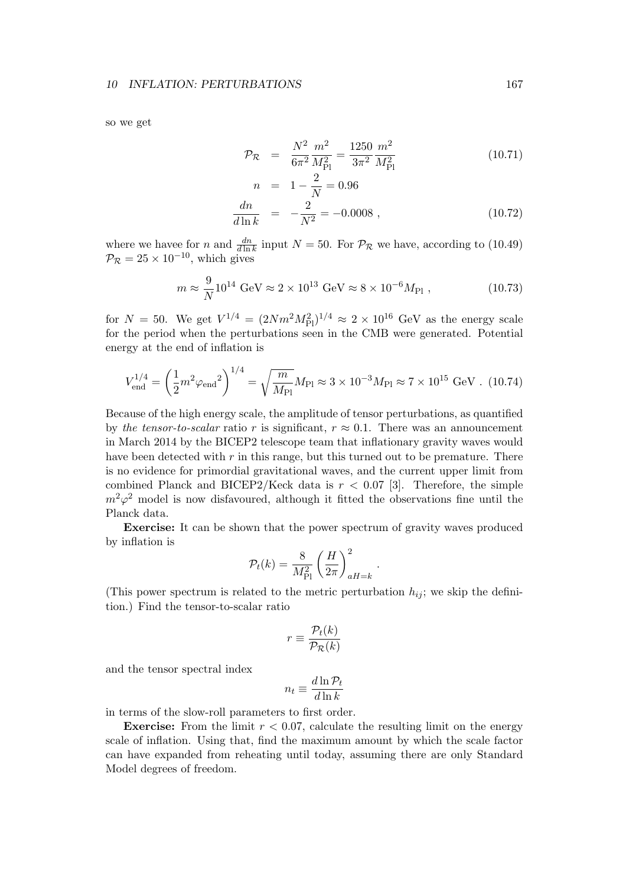so we get

$$
\mathcal{P}_{\mathcal{R}} = \frac{N^2}{6\pi^2} \frac{m^2}{M_{\rm Pl}^2} = \frac{1250}{3\pi^2} \frac{m^2}{M_{\rm Pl}^2} \tag{10.71}
$$

$$
n = 1 - \frac{2}{N} = 0.96
$$
  

$$
\frac{dn}{d \ln k} = -\frac{2}{N^2} = -0.0008,
$$
 (10.72)

where we havee for *n* and  $\frac{dn}{d\ln k}$  input  $N = 50$ . For  $\mathcal{P}_{\mathcal{R}}$  we have, according to (10.49)  $P_{\mathcal{R}} = 25 \times 10^{-10}$ , which gives

$$
m \approx \frac{9}{N} 10^{14} \text{ GeV} \approx 2 \times 10^{13} \text{ GeV} \approx 8 \times 10^{-6} M_{\text{Pl}} , \qquad (10.73)
$$

for  $N = 50$ . We get  $V^{1/4} = (2Nm^2M_{\rm Pl}^2)^{1/4} \approx 2 \times 10^{16}$  GeV as the energy scale for the period when the perturbations seen in the CMB were generated. Potential energy at the end of inflation is

$$
V_{\text{end}}^{1/4} = \left(\frac{1}{2}m^2 \varphi_{\text{end}}^2\right)^{1/4} = \sqrt{\frac{m}{M_{\text{Pl}}}} M_{\text{Pl}} \approx 3 \times 10^{-3} M_{\text{Pl}} \approx 7 \times 10^{15} \text{ GeV} \tag{10.74}
$$

Because of the high energy scale, the amplitude of tensor perturbations, as quantified by the tensor-to-scalar ratio r is significant,  $r \approx 0.1$ . There was an announcement in March 2014 by the BICEP2 telescope team that inflationary gravity waves would have been detected with  $r$  in this range, but this turned out to be premature. There is no evidence for primordial gravitational waves, and the current upper limit from combined Planck and BICEP2/Keck data is  $r < 0.07$  [3]. Therefore, the simple  $m^2\varphi^2$  model is now disfavoured, although it fitted the observations fine until the Planck data.

Exercise: It can be shown that the power spectrum of gravity waves produced by inflation is

$$
\mathcal{P}_t(k) = \frac{8}{M_{\rm Pl}^2} \left(\frac{H}{2\pi}\right)^2_{aH=k}
$$

.

(This power spectrum is related to the metric perturbation  $h_{ij}$ ; we skip the definition.) Find the tensor-to-scalar ratio

$$
r \equiv \frac{\mathcal{P}_t(k)}{\mathcal{P}_\mathcal{R}(k)}
$$

and the tensor spectral index

$$
n_t \equiv \frac{d \ln \mathcal{P}_t}{d \ln k}
$$

in terms of the slow-roll parameters to first order.

**Exercise:** From the limit  $r < 0.07$ , calculate the resulting limit on the energy scale of inflation. Using that, find the maximum amount by which the scale factor can have expanded from reheating until today, assuming there are only Standard Model degrees of freedom.